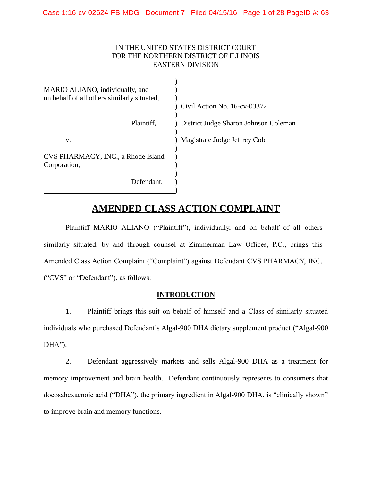### IN THE UNITED STATES DISTRICT COURT FOR THE NORTHERN DISTRICT OF ILLINOIS EASTERN DIVISION

| MARIO ALIANO, individually, and<br>on behalf of all others similarly situated, | Civil Action No. 16-cv-03372          |
|--------------------------------------------------------------------------------|---------------------------------------|
| Plaintiff,                                                                     | District Judge Sharon Johnson Coleman |
| V.                                                                             | Magistrate Judge Jeffrey Cole         |
| CVS PHARMACY, INC., a Rhode Island<br>Corporation,                             |                                       |
| Defendant.                                                                     |                                       |

# **AMENDED CLASS ACTION COMPLAINT**

Plaintiff MARIO ALIANO ("Plaintiff"), individually, and on behalf of all others similarly situated, by and through counsel at Zimmerman Law Offices, P.C., brings this Amended Class Action Complaint ("Complaint") against Defendant CVS PHARMACY, INC. ("CVS" or "Defendant"), as follows:

### **INTRODUCTION**

1. Plaintiff brings this suit on behalf of himself and a Class of similarly situated individuals who purchased Defendant's Algal-900 DHA dietary supplement product ("Algal-900  $DHA$ ").

2. Defendant aggressively markets and sells Algal-900 DHA as a treatment for memory improvement and brain health. Defendant continuously represents to consumers that docosahexaenoic acid ("DHA"), the primary ingredient in Algal-900 DHA, is "clinically shown" to improve brain and memory functions.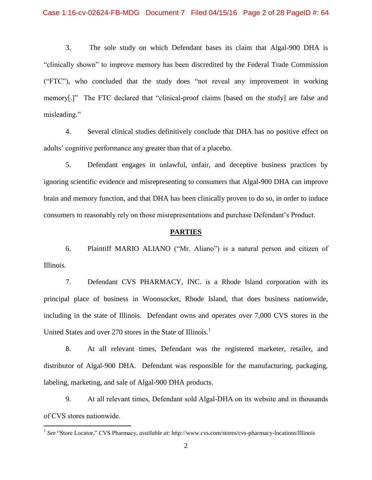3. The sole study on which Defendant bases its claim that Algal-900 DHA is "clinically shown" to improve memory has been discredited by the Federal Trade Commission ("FTC"), who concluded that the study does "not reveal any improvement in working memory[.]" The FTC declared that "clinical-proof claims [based on the study] are false and misleading."

4. Several clinical studies definitively conclude that DHA has no positive effect on adults' cognitive performance any greater than that of a placebo.

5. Defendant engages in unlawful, unfair, and deceptive business practices by ignoring scientific evidence and misrepresenting to consumers that Algal-900 DHA can improve brain and memory function, and that DHA has been clinically proven to do so, in order to induce consumers to reasonably rely on those misrepresentations and purchase Defendant's Product.

#### **PARTIES**

6. Plaintiff MARIO ALIANO ("Mr. Aliano") is a natural person and citizen of Illinois.

7. Defendant CVS PHARMACY, INC. is a Rhode Island corporation with its principal place of business in Woonsocket, Rhode Island, that does business nationwide, including in the state of Illinois. Defendant owns and operates over 7,000 CVS stores in the United States and over 270 stores in the State of Illinois.<sup>1</sup>

8. At all relevant times, Defendant was the registered marketer, retailer, and distributor of Algal-900 DHA. Defendant was responsible for the manufacturing, packaging, labeling, marketing, and sale of Algal-900 DHA products.

9. At all relevant times, Defendant sold Algal-DHA on its website and in thousands of CVS stores nationwide.

 1 *See* "Store Locator," CVS Pharmacy, *available at*: http://www.cvs.com/stores/cvs-pharmacy-locations/Illinois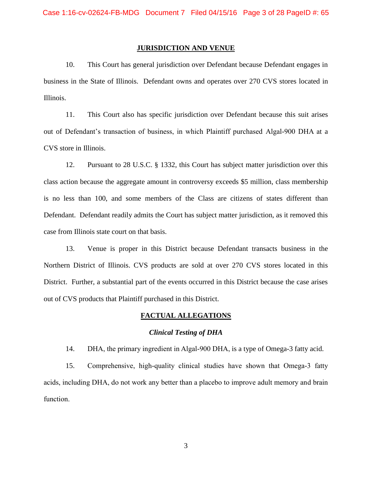#### **JURISDICTION AND VENUE**

10. This Court has general jurisdiction over Defendant because Defendant engages in business in the State of Illinois. Defendant owns and operates over 270 CVS stores located in Illinois.

11. This Court also has specific jurisdiction over Defendant because this suit arises out of Defendant's transaction of business, in which Plaintiff purchased Algal-900 DHA at a CVS store in Illinois.

12. Pursuant to 28 U.S.C. § 1332, this Court has subject matter jurisdiction over this class action because the aggregate amount in controversy exceeds \$5 million, class membership is no less than 100, and some members of the Class are citizens of states different than Defendant. Defendant readily admits the Court has subject matter jurisdiction, as it removed this case from Illinois state court on that basis.

13. Venue is proper in this District because Defendant transacts business in the Northern District of Illinois. CVS products are sold at over 270 CVS stores located in this District. Further, a substantial part of the events occurred in this District because the case arises out of CVS products that Plaintiff purchased in this District.

#### **FACTUAL ALLEGATIONS**

#### *Clinical Testing of DHA*

14. DHA, the primary ingredient in Algal-900 DHA, is a type of Omega-3 fatty acid.

15. Comprehensive, high-quality clinical studies have shown that Omega-3 fatty acids, including DHA, do not work any better than a placebo to improve adult memory and brain function.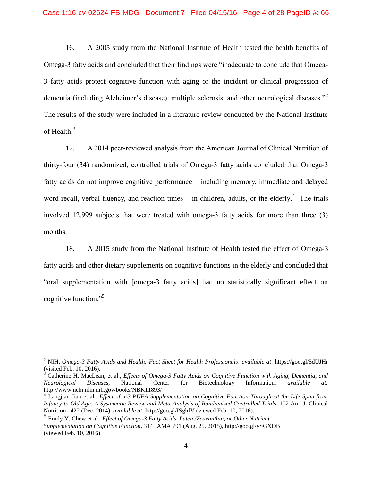#### Case 1:16-cv-02624-FB-MDG Document 7 Filed 04/15/16 Page 4 of 28 PageID #: 66

16. A 2005 study from the National Institute of Health tested the health benefits of Omega-3 fatty acids and concluded that their findings were "inadequate to conclude that Omega-3 fatty acids protect cognitive function with aging or the incident or clinical progression of dementia (including Alzheimer's disease), multiple sclerosis, and other neurological diseases."<sup>2</sup> The results of the study were included in a literature review conducted by the National Institute of Health.<sup>3</sup>

17. A 2014 peer-reviewed analysis from the American Journal of Clinical Nutrition of thirty-four (34) randomized, controlled trials of Omega-3 fatty acids concluded that Omega-3 fatty acids do not improve cognitive performance – including memory, immediate and delayed word recall, verbal fluency, and reaction times  $-$  in children, adults, or the elderly.<sup>4</sup> The trials involved 12,999 subjects that were treated with omega-3 fatty acids for more than three (3) months.

18. A 2015 study from the National Institute of Health tested the effect of Omega-3 fatty acids and other dietary supplements on cognitive functions in the elderly and concluded that "oral supplementation with [omega-3 fatty acids] had no statistically significant effect on cognitive function."<sup>5</sup>

 $\overline{a}$ 

<sup>2</sup> NIH, *Omega-3 Fatty Acids and Health: Fact Sheet for Health Professionals*, *available at*: https://goo.gl/5dUJHr (visited Feb. 10, 2016).

<sup>3</sup> Catherine H. MacLean, et al., *Effects of Omega-3 Fatty Acids on Cognitive Function with Aging, Dementia, and Neurological Diseases*, National Center for Biotechnology Information, *available at:*  http://www.ncbi.nlm.nih.gov/books/NBK11893/

<sup>4</sup> Jiangjian Jiao et al., *Effect of n-3 PUFA Supplementation on Cognitive Function Throughout the Life Span from Infancy to Old Age: A Systematic Review and Meta-Analysis of Randomized Controlled Trials*, 102 Am. J. Clinical Nutrition 1422 (Dec. 2014), *available at*: [http://goo.gl/ISghfV \(viewed](http://goo.gl/ISghfV%20(viewed) Feb. 10, 2016).

<sup>5</sup> Emily Y. Chew et al., *Effect of Omega-3 Fatty Acids, Lutein/Zeaxanthin, or Other Nutrient Supplementation on Cognitive Function*, 314 JAMA 791 (Aug. 25, 2015), http://goo.gl/ySGXDB (viewed Feb. 10, 2016).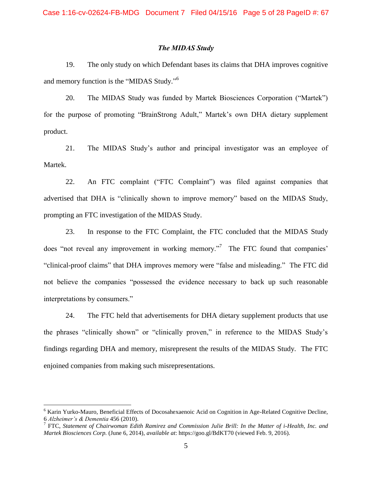#### *The MIDAS Study*

19. The only study on which Defendant bases its claims that DHA improves cognitive and memory function is the "MIDAS Study."<sup>6</sup>

20. The MIDAS Study was funded by Martek Biosciences Corporation ("Martek") for the purpose of promoting "BrainStrong Adult," Martek's own DHA dietary supplement product.

21. The MIDAS Study's author and principal investigator was an employee of Martek.

22. An FTC complaint ("FTC Complaint") was filed against companies that advertised that DHA is "clinically shown to improve memory" based on the MIDAS Study, prompting an FTC investigation of the MIDAS Study.

23. In response to the FTC Complaint, the FTC concluded that the MIDAS Study does "not reveal any improvement in working memory."<sup>7</sup> The FTC found that companies' "clinical-proof claims" that DHA improves memory were "false and misleading." The FTC did not believe the companies "possessed the evidence necessary to back up such reasonable interpretations by consumers."

24. The FTC held that advertisements for DHA dietary supplement products that use the phrases "clinically shown" or "clinically proven," in reference to the MIDAS Study's findings regarding DHA and memory, misrepresent the results of the MIDAS Study. The FTC enjoined companies from making such misrepresentations.

 $\overline{a}$ 

<sup>6</sup> Karin Yurko-Mauro, Beneficial Effects of Docosahexaenoic Acid on Cognition in Age-Related Cognitive Decline, 6 *Alzheimer's & Dementia* 456 (2010). 7 FTC, *Statement of Chairwoman Edith Ramirez and Commission Julie Brill: In the Matter of i-Health, Inc. and* 

*Martek Biosciences Corp.* (June 6, 2014), *available at*: https://goo.gl/BdKT70 (viewed Feb. 9, 2016).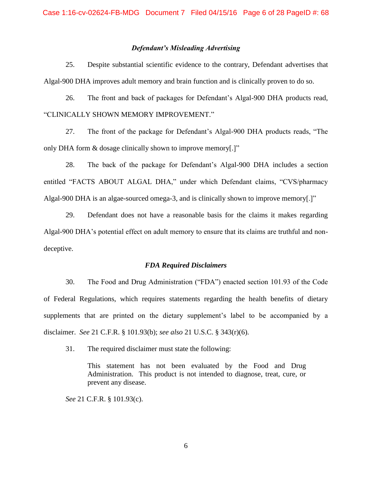#### *Defendant's Misleading Advertising*

25. Despite substantial scientific evidence to the contrary, Defendant advertises that Algal-900 DHA improves adult memory and brain function and is clinically proven to do so.

26. The front and back of packages for Defendant's Algal-900 DHA products read, "CLINICALLY SHOWN MEMORY IMPROVEMENT."

27. The front of the package for Defendant's Algal-900 DHA products reads, "The only DHA form & dosage clinically shown to improve memory[.]"

28. The back of the package for Defendant's Algal-900 DHA includes a section entitled "FACTS ABOUT ALGAL DHA," under which Defendant claims, "CVS/pharmacy Algal-900 DHA is an algae-sourced omega-3, and is clinically shown to improve memory[.]"

29. Defendant does not have a reasonable basis for the claims it makes regarding Algal-900 DHA's potential effect on adult memory to ensure that its claims are truthful and nondeceptive.

#### *FDA Required Disclaimers*

30. The Food and Drug Administration ("FDA") enacted section 101.93 of the Code of Federal Regulations, which requires statements regarding the health benefits of dietary supplements that are printed on the dietary supplement's label to be accompanied by a disclaimer. *See* 21 C.F.R. § 101.93(b); *see also* 21 U.S.C. § 343(r)(6).

31. The required disclaimer must state the following:

This statement has not been evaluated by the Food and Drug Administration. This product is not intended to diagnose, treat, cure, or prevent any disease.

*See* 21 C.F.R. § 101.93(c).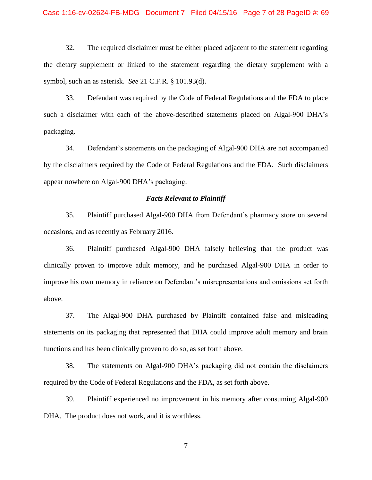#### Case 1:16-cv-02624-FB-MDG Document 7 Filed 04/15/16 Page 7 of 28 PageID #: 69

32. The required disclaimer must be either placed adjacent to the statement regarding the dietary supplement or linked to the statement regarding the dietary supplement with a symbol, such an as asterisk. *See* 21 C.F.R. § 101.93(d).

33. Defendant was required by the Code of Federal Regulations and the FDA to place such a disclaimer with each of the above-described statements placed on Algal-900 DHA's packaging.

34. Defendant's statements on the packaging of Algal-900 DHA are not accompanied by the disclaimers required by the Code of Federal Regulations and the FDA. Such disclaimers appear nowhere on Algal-900 DHA's packaging.

#### *Facts Relevant to Plaintiff*

35. Plaintiff purchased Algal-900 DHA from Defendant's pharmacy store on several occasions, and as recently as February 2016.

36. Plaintiff purchased Algal-900 DHA falsely believing that the product was clinically proven to improve adult memory, and he purchased Algal-900 DHA in order to improve his own memory in reliance on Defendant's misrepresentations and omissions set forth above.

37. The Algal-900 DHA purchased by Plaintiff contained false and misleading statements on its packaging that represented that DHA could improve adult memory and brain functions and has been clinically proven to do so, as set forth above.

38. The statements on Algal-900 DHA's packaging did not contain the disclaimers required by the Code of Federal Regulations and the FDA, as set forth above.

39. Plaintiff experienced no improvement in his memory after consuming Algal-900 DHA. The product does not work, and it is worthless.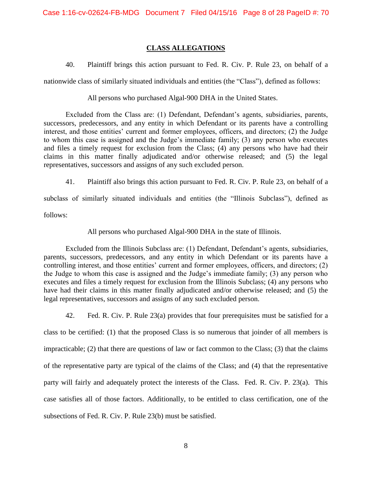### **CLASS ALLEGATIONS**

40. Plaintiff brings this action pursuant to Fed. R. Civ. P. Rule 23, on behalf of a

nationwide class of similarly situated individuals and entities (the "Class"), defined as follows:

All persons who purchased Algal-900 DHA in the United States.

Excluded from the Class are: (1) Defendant, Defendant's agents, subsidiaries, parents, successors, predecessors, and any entity in which Defendant or its parents have a controlling interest, and those entities' current and former employees, officers, and directors; (2) the Judge to whom this case is assigned and the Judge's immediate family; (3) any person who executes and files a timely request for exclusion from the Class; (4) any persons who have had their claims in this matter finally adjudicated and/or otherwise released; and (5) the legal representatives, successors and assigns of any such excluded person.

41. Plaintiff also brings this action pursuant to Fed. R. Civ. P. Rule 23, on behalf of a

subclass of similarly situated individuals and entities (the "Illinois Subclass"), defined as follows:

All persons who purchased Algal-900 DHA in the state of Illinois.

Excluded from the Illinois Subclass are: (1) Defendant, Defendant's agents, subsidiaries, parents, successors, predecessors, and any entity in which Defendant or its parents have a controlling interest, and those entities' current and former employees, officers, and directors; (2) the Judge to whom this case is assigned and the Judge's immediate family; (3) any person who executes and files a timely request for exclusion from the Illinois Subclass; (4) any persons who have had their claims in this matter finally adjudicated and/or otherwise released; and (5) the legal representatives, successors and assigns of any such excluded person.

42. Fed. R. Civ. P. Rule 23(a) provides that four prerequisites must be satisfied for a

class to be certified: (1) that the proposed Class is so numerous that joinder of all members is impracticable; (2) that there are questions of law or fact common to the Class; (3) that the claims of the representative party are typical of the claims of the Class; and (4) that the representative party will fairly and adequately protect the interests of the Class. Fed. R. Civ. P. 23(a). This case satisfies all of those factors. Additionally, to be entitled to class certification, one of the subsections of Fed. R. Civ. P. Rule 23(b) must be satisfied.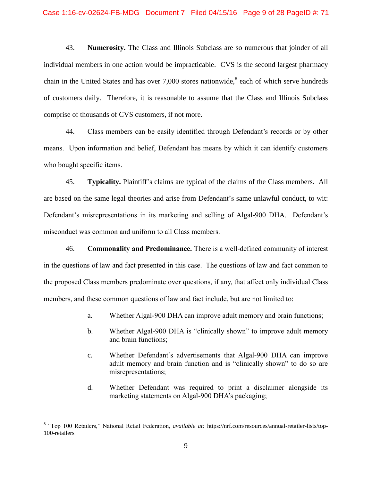43. **Numerosity.** The Class and Illinois Subclass are so numerous that joinder of all individual members in one action would be impracticable. CVS is the second largest pharmacy chain in the United States and has over  $7,000$  stores nationwide,  $8$  each of which serve hundreds of customers daily. Therefore, it is reasonable to assume that the Class and Illinois Subclass comprise of thousands of CVS customers, if not more.

44. Class members can be easily identified through Defendant's records or by other means. Upon information and belief, Defendant has means by which it can identify customers who bought specific items.

45. **Typicality.** Plaintiff's claims are typical of the claims of the Class members. All are based on the same legal theories and arise from Defendant's same unlawful conduct, to wit: Defendant's misrepresentations in its marketing and selling of Algal-900 DHA. Defendant's misconduct was common and uniform to all Class members.

46. **Commonality and Predominance.** There is a well-defined community of interest in the questions of law and fact presented in this case. The questions of law and fact common to the proposed Class members predominate over questions, if any, that affect only individual Class members, and these common questions of law and fact include, but are not limited to:

- a. Whether Algal-900 DHA can improve adult memory and brain functions;
- b. Whether Algal-900 DHA is "clinically shown" to improve adult memory and brain functions;
- c. Whether Defendant's advertisements that Algal-900 DHA can improve adult memory and brain function and is "clinically shown" to do so are misrepresentations;
- d. Whether Defendant was required to print a disclaimer alongside its marketing statements on Algal-900 DHA's packaging;

 $\overline{a}$ 

<sup>8</sup> "Top 100 Retailers," National Retail Federation, *available at:* https://nrf.com/resources/annual-retailer-lists/top-100-retailers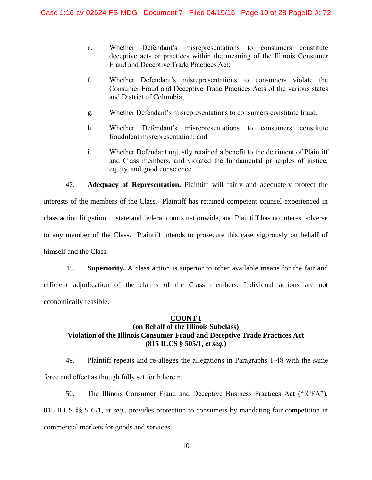- e. Whether Defendant's misrepresentations to consumers constitute deceptive acts or practices within the meaning of the Illinois Consumer Fraud and Deceptive Trade Practices Act;
- f. Whether Defendant's misrepresentations to consumers violate the Consumer Fraud and Deceptive Trade Practices Acts of the various states and District of Columbia;
- g. Whether Defendant's misrepresentations to consumers constitute fraud;
- h. Whether Defendant's misrepresentations to consumers constitute fraudulent misrepresentation; and
- i. Whether Defendant unjustly retained a benefit to the detriment of Plaintiff and Class members, and violated the fundamental principles of justice, equity, and good conscience.

47. **Adequacy of Representation.** Plaintiff will fairly and adequately protect the interests of the members of the Class. Plaintiff has retained competent counsel experienced in class action litigation in state and federal courts nationwide, and Plaintiff has no interest adverse to any member of the Class. Plaintiff intends to prosecute this case vigorously on behalf of himself and the Class.

48. **Superiority.** A class action is superior to other available means for the fair and efficient adjudication of the claims of the Class members. Individual actions are not economically feasible.

### **COUNT I**

## **(on Behalf of the Illinois Subclass) Violation of the Illinois Consumer Fraud and Deceptive Trade Practices Act (815 ILCS § 505/1,** *et seq.***)**

49. Plaintiff repeats and re-alleges the allegations in Paragraphs 1-48 with the same force and effect as though fully set forth herein.

50. The Illinois Consumer Fraud and Deceptive Business Practices Act ("ICFA"), 815 ILCS §§ 505/1, *et seq.*, provides protection to consumers by mandating fair competition in commercial markets for goods and services.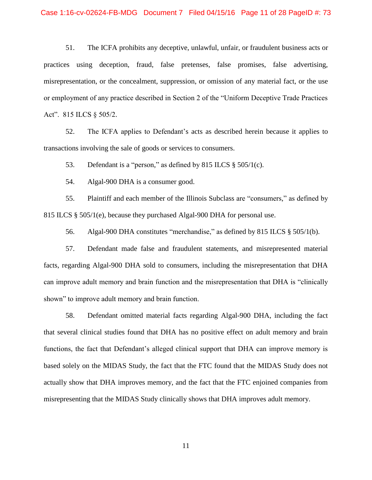#### Case 1:16-cv-02624-FB-MDG Document 7 Filed 04/15/16 Page 11 of 28 PageID #: 73

51. The ICFA prohibits any deceptive, unlawful, unfair, or fraudulent business acts or practices using deception, fraud, false pretenses, false promises, false advertising, misrepresentation, or the concealment, suppression, or omission of any material fact, or the use or employment of any practice described in Section 2 of the "Uniform Deceptive Trade Practices Act". 815 ILCS § 505/2.

52. The ICFA applies to Defendant's acts as described herein because it applies to transactions involving the sale of goods or services to consumers.

53. Defendant is a "person," as defined by 815 ILCS § 505/1(c).

54. Algal-900 DHA is a consumer good.

55. Plaintiff and each member of the Illinois Subclass are "consumers," as defined by 815 ILCS § 505/1(e), because they purchased Algal-900 DHA for personal use.

56. Algal-900 DHA constitutes "merchandise," as defined by 815 ILCS § 505/1(b).

57. Defendant made false and fraudulent statements, and misrepresented material facts, regarding Algal-900 DHA sold to consumers, including the misrepresentation that DHA can improve adult memory and brain function and the misrepresentation that DHA is "clinically shown" to improve adult memory and brain function.

58. Defendant omitted material facts regarding Algal-900 DHA, including the fact that several clinical studies found that DHA has no positive effect on adult memory and brain functions, the fact that Defendant's alleged clinical support that DHA can improve memory is based solely on the MIDAS Study, the fact that the FTC found that the MIDAS Study does not actually show that DHA improves memory, and the fact that the FTC enjoined companies from misrepresenting that the MIDAS Study clinically shows that DHA improves adult memory.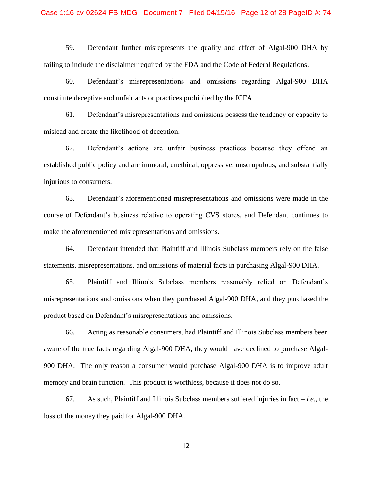#### Case 1:16-cv-02624-FB-MDG Document 7 Filed 04/15/16 Page 12 of 28 PageID #: 74

59. Defendant further misrepresents the quality and effect of Algal-900 DHA by failing to include the disclaimer required by the FDA and the Code of Federal Regulations.

60. Defendant's misrepresentations and omissions regarding Algal-900 DHA constitute deceptive and unfair acts or practices prohibited by the ICFA.

61. Defendant's misrepresentations and omissions possess the tendency or capacity to mislead and create the likelihood of deception.

62. Defendant's actions are unfair business practices because they offend an established public policy and are immoral, unethical, oppressive, unscrupulous, and substantially injurious to consumers.

63. Defendant's aforementioned misrepresentations and omissions were made in the course of Defendant's business relative to operating CVS stores, and Defendant continues to make the aforementioned misrepresentations and omissions.

64. Defendant intended that Plaintiff and Illinois Subclass members rely on the false statements, misrepresentations, and omissions of material facts in purchasing Algal-900 DHA.

65. Plaintiff and Illinois Subclass members reasonably relied on Defendant's misrepresentations and omissions when they purchased Algal-900 DHA, and they purchased the product based on Defendant's misrepresentations and omissions.

66. Acting as reasonable consumers, had Plaintiff and Illinois Subclass members been aware of the true facts regarding Algal-900 DHA, they would have declined to purchase Algal-900 DHA. The only reason a consumer would purchase Algal-900 DHA is to improve adult memory and brain function. This product is worthless, because it does not do so.

67. As such, Plaintiff and Illinois Subclass members suffered injuries in fact  $-i.e.,$  the loss of the money they paid for Algal-900 DHA.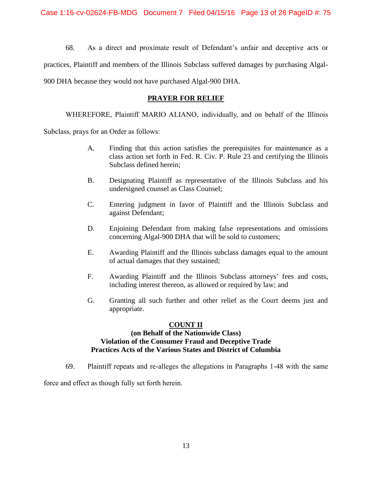68. As a direct and proximate result of Defendant's unfair and deceptive acts or practices, Plaintiff and members of the Illinois Subclass suffered damages by purchasing Algal-900 DHA because they would not have purchased Algal-900 DHA.

### **PRAYER FOR RELIEF**

WHEREFORE, Plaintiff MARIO ALIANO, individually, and on behalf of the Illinois

Subclass, prays for an Order as follows:

- A. Finding that this action satisfies the prerequisites for maintenance as a class action set forth in Fed. R. Civ. P. Rule 23 and certifying the Illinois Subclass defined herein;
- B. Designating Plaintiff as representative of the Illinois Subclass and his undersigned counsel as Class Counsel;
- C. Entering judgment in favor of Plaintiff and the Illinois Subclass and against Defendant;
- D. Enjoining Defendant from making false representations and omissions concerning Algal-900 DHA that will be sold to customers;
- E. Awarding Plaintiff and the Illinois subclass damages equal to the amount of actual damages that they sustained;
- F. Awarding Plaintiff and the Illinois Subclass attorneys' fees and costs, including interest thereon, as allowed or required by law; and
- G. Granting all such further and other relief as the Court deems just and appropriate.

### **COUNT II (on Behalf of the Nationwide Class) Violation of the Consumer Fraud and Deceptive Trade Practices Acts of the Various States and District of Columbia**

69. Plaintiff repeats and re-alleges the allegations in Paragraphs 1-48 with the same

force and effect as though fully set forth herein.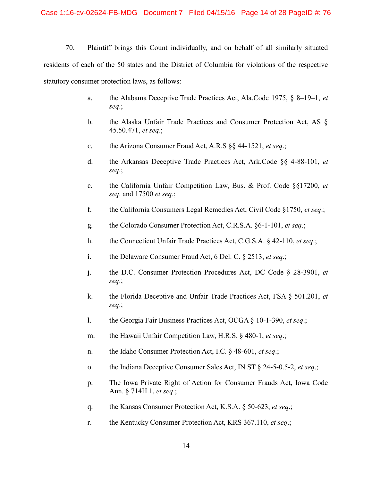70. Plaintiff brings this Count individually, and on behalf of all similarly situated residents of each of the 50 states and the District of Columbia for violations of the respective statutory consumer protection laws, as follows:

- a. the Alabama Deceptive Trade Practices Act, Ala.Code 1975, § 8–19–1, *et seq*.;
- b. the Alaska Unfair Trade Practices and Consumer Protection Act, AS § 45.50.471, *et seq*.;
- c. the Arizona Consumer Fraud Act, A.R.S §§ 44-1521, *et seq*.;
- d. the Arkansas Deceptive Trade Practices Act, Ark.Code §§ 4-88-101, *et seq*.;
- e. the California Unfair Competition Law, Bus. & Prof. Code §§17200, *et seq*. and 17500 *et seq*.;
- f. the California Consumers Legal Remedies Act, Civil Code §1750, *et seq*.;
- g. the Colorado Consumer Protection Act, C.R.S.A. §6-1-101, *et seq*.;
- h. the Connecticut Unfair Trade Practices Act, C.G.S.A. § 42-110, *et seq*.;
- i. the Delaware Consumer Fraud Act, 6 Del. C. § 2513, *et seq*.;
- j. the D.C. Consumer Protection Procedures Act, DC Code § 28-3901, *et seq*.;
- k. the Florida Deceptive and Unfair Trade Practices Act, FSA § 501.201, *et seq*.;
- l. the Georgia Fair Business Practices Act, OCGA § 10-1-390, *et seq*.;
- m. the Hawaii Unfair Competition Law, H.R.S. § 480-1, *et seq*.;
- n. the Idaho Consumer Protection Act, I.C. § 48-601, *et seq*.;
- o. the Indiana Deceptive Consumer Sales Act, IN ST § 24-5-0.5-2, *et seq*.;
- p. The Iowa Private Right of Action for Consumer Frauds Act, Iowa Code Ann. § 714H.1, *et seq*.;
- q. the Kansas Consumer Protection Act, K.S.A. § 50-623, *et seq*.;
- r. the Kentucky Consumer Protection Act, KRS 367.110, *et seq*.;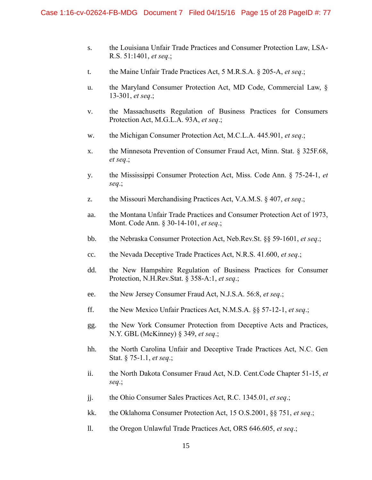- s. the Louisiana Unfair Trade Practices and Consumer Protection Law, LSA-R.S. 51:1401, *et seq*.;
- t. the Maine Unfair Trade Practices Act, 5 M.R.S.A. § 205-A, *et seq*.;
- u. the Maryland Consumer Protection Act, MD Code, Commercial Law, § 13-301, *et seq*.;
- v. the Massachusetts Regulation of Business Practices for Consumers Protection Act, M.G.L.A. 93A, *et seq*.;
- w. the Michigan Consumer Protection Act, M.C.L.A. 445.901, *et seq*.;
- x. the Minnesota Prevention of Consumer Fraud Act, Minn. Stat. § 325F.68, *et seq*.;
- y. the Mississippi Consumer Protection Act, Miss. Code Ann. § 75-24-1, *et seq*.;
- z. the Missouri Merchandising Practices Act, V.A.M.S. § 407, *et seq*.;
- aa. the Montana Unfair Trade Practices and Consumer Protection Act of 1973, Mont. Code Ann. § 30-14-101, *et seq*.;
- bb. the Nebraska Consumer Protection Act, Neb.Rev.St. §§ 59-1601, *et seq*.;
- cc. the Nevada Deceptive Trade Practices Act, N.R.S. 41.600, *et seq*.;
- dd. the New Hampshire Regulation of Business Practices for Consumer Protection, N.H.Rev.Stat. § 358-A:1, *et seq*.;
- ee. the New Jersey Consumer Fraud Act, N.J.S.A. 56:8, *et seq*.;
- ff. the New Mexico Unfair Practices Act, N.M.S.A. §§ 57-12-1, *et seq*.;
- gg. the New York Consumer Protection from Deceptive Acts and Practices, N.Y. GBL (McKinney) § 349, *et seq*.;
- hh. the North Carolina Unfair and Deceptive Trade Practices Act, N.C. Gen Stat. § 75-1.1, *et seq*.;
- ii. the North Dakota Consumer Fraud Act, N.D. Cent.Code Chapter 51-15, *et seq*.;
- jj. the Ohio Consumer Sales Practices Act, R.C. 1345.01, *et seq*.;
- kk. the Oklahoma Consumer Protection Act, 15 O.S.2001, §§ 751, *et seq*.;
- ll. the Oregon Unlawful Trade Practices Act, ORS 646.605, *et seq*.;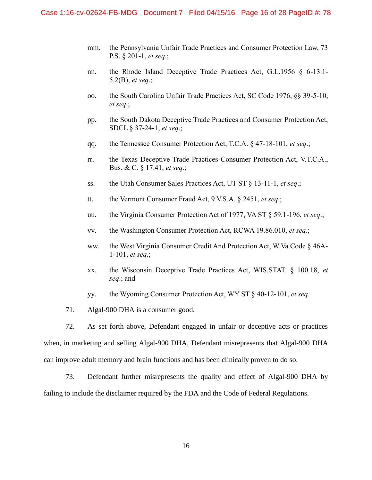- mm. the Pennsylvania Unfair Trade Practices and Consumer Protection Law, 73 P.S. § 201-1, *et seq*.;
- nn. the Rhode Island Deceptive Trade Practices Act, G.L.1956 § 6-13.1- 5.2(B), *et seq*.;
- oo. the South Carolina Unfair Trade Practices Act, SC Code 1976, §§ 39-5-10, *et seq*.;
- pp. the South Dakota Deceptive Trade Practices and Consumer Protection Act, SDCL § 37-24-1, *et seq*.;
- qq. the Tennessee Consumer Protection Act, T.C.A. § 47-18-101, *et seq*.;
- rr. the Texas Deceptive Trade Practices-Consumer Protection Act, V.T.C.A., Bus. & C. § 17.41, *et seq*.;
- ss. the Utah Consumer Sales Practices Act, UT ST § 13-11-1, *et seq*.;
- tt. the Vermont Consumer Fraud Act, 9 V.S.A. § 2451, *et seq*.;
- uu. the Virginia Consumer Protection Act of 1977, VA ST § 59.1-196, *et seq*.;
- vv. the Washington Consumer Protection Act, RCWA 19.86.010, *et seq*.;
- ww. the West Virginia Consumer Credit And Protection Act, W.Va.Code § 46A-1-101, *et seq*.;
- xx. the Wisconsin Deceptive Trade Practices Act, WIS.STAT. § 100.18, *et seq*.; and
- yy. the Wyoming Consumer Protection Act, WY ST § 40-12-101, *et seq*.
- 71. Algal-900 DHA is a consumer good.

72. As set forth above, Defendant engaged in unfair or deceptive acts or practices when, in marketing and selling Algal-900 DHA, Defendant misrepresents that Algal-900 DHA can improve adult memory and brain functions and has been clinically proven to do so.

73. Defendant further misrepresents the quality and effect of Algal-900 DHA by failing to include the disclaimer required by the FDA and the Code of Federal Regulations.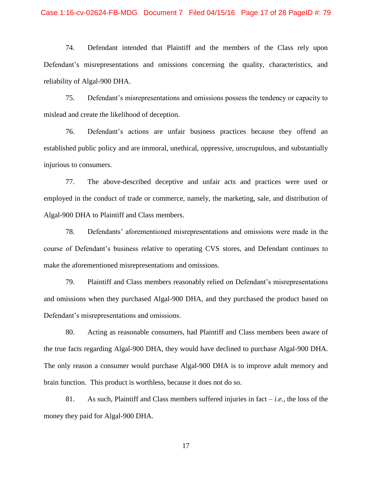### Case 1:16-cv-02624-FB-MDG Document 7 Filed 04/15/16 Page 17 of 28 PageID #: 79

74. Defendant intended that Plaintiff and the members of the Class rely upon Defendant's misrepresentations and omissions concerning the quality, characteristics, and reliability of Algal-900 DHA.

75. Defendant's misrepresentations and omissions possess the tendency or capacity to mislead and create the likelihood of deception.

76. Defendant's actions are unfair business practices because they offend an established public policy and are immoral, unethical, oppressive, unscrupulous, and substantially injurious to consumers.

77. The above-described deceptive and unfair acts and practices were used or employed in the conduct of trade or commerce, namely, the marketing, sale, and distribution of Algal-900 DHA to Plaintiff and Class members.

78. Defendants' aforementioned misrepresentations and omissions were made in the course of Defendant's business relative to operating CVS stores, and Defendant continues to make the aforementioned misrepresentations and omissions.

79. Plaintiff and Class members reasonably relied on Defendant's misrepresentations and omissions when they purchased Algal-900 DHA, and they purchased the product based on Defendant's misrepresentations and omissions.

80. Acting as reasonable consumers, had Plaintiff and Class members been aware of the true facts regarding Algal-900 DHA, they would have declined to purchase Algal-900 DHA. The only reason a consumer would purchase Algal-900 DHA is to improve adult memory and brain function. This product is worthless, because it does not do so.

81. As such, Plaintiff and Class members suffered injuries in fact  $-i.e.,$  the loss of the money they paid for Algal-900 DHA.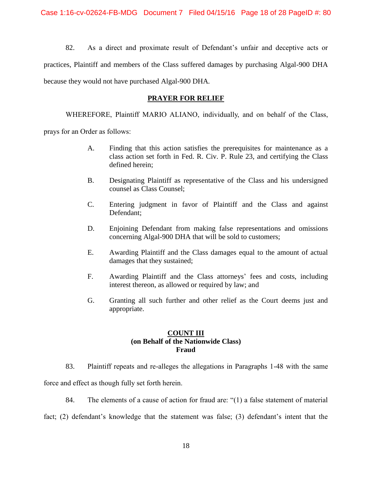82. As a direct and proximate result of Defendant's unfair and deceptive acts or practices, Plaintiff and members of the Class suffered damages by purchasing Algal-900 DHA because they would not have purchased Algal-900 DHA*.* 

### **PRAYER FOR RELIEF**

WHEREFORE, Plaintiff MARIO ALIANO, individually, and on behalf of the Class,

prays for an Order as follows:

- A. Finding that this action satisfies the prerequisites for maintenance as a class action set forth in Fed. R. Civ. P. Rule 23, and certifying the Class defined herein;
- B. Designating Plaintiff as representative of the Class and his undersigned counsel as Class Counsel;
- C. Entering judgment in favor of Plaintiff and the Class and against Defendant;
- D. Enjoining Defendant from making false representations and omissions concerning Algal-900 DHA that will be sold to customers;
- E. Awarding Plaintiff and the Class damages equal to the amount of actual damages that they sustained;
- F. Awarding Plaintiff and the Class attorneys' fees and costs, including interest thereon, as allowed or required by law; and
- G. Granting all such further and other relief as the Court deems just and appropriate.

### **COUNT III (on Behalf of the Nationwide Class) Fraud**

83. Plaintiff repeats and re-alleges the allegations in Paragraphs 1-48 with the same

force and effect as though fully set forth herein.

84. The elements of a cause of action for fraud are: "(1) a false statement of material

fact; (2) defendant's knowledge that the statement was false; (3) defendant's intent that the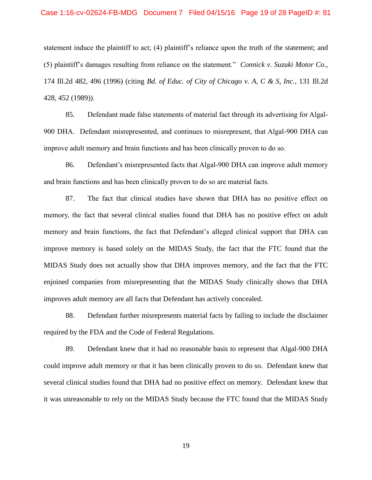### Case 1:16-cv-02624-FB-MDG Document 7 Filed 04/15/16 Page 19 of 28 PageID #: 81

statement induce the plaintiff to act; (4) plaintiff's reliance upon the truth of the statement; and (5) plaintiff's damages resulting from reliance on the statement." *Connick v. Suzuki Motor Co.*, 174 Ill.2d 482, 496 (1996) (citing *Bd. of Educ. of City of Chicago v. A, C & S, Inc.*, 131 Ill.2d 428, 452 (1989)).

85. Defendant made false statements of material fact through its advertising for Algal-900 DHA. Defendant misrepresented, and continues to misrepresent, that Algal-900 DHA can improve adult memory and brain functions and has been clinically proven to do so.

86. Defendant's misrepresented facts that Algal-900 DHA can improve adult memory and brain functions and has been clinically proven to do so are material facts.

87. The fact that clinical studies have shown that DHA has no positive effect on memory, the fact that several clinical studies found that DHA has no positive effect on adult memory and brain functions, the fact that Defendant's alleged clinical support that DHA can improve memory is based solely on the MIDAS Study, the fact that the FTC found that the MIDAS Study does not actually show that DHA improves memory, and the fact that the FTC enjoined companies from misrepresenting that the MIDAS Study clinically shows that DHA improves adult memory are all facts that Defendant has actively concealed.

88. Defendant further misrepresents material facts by failing to include the disclaimer required by the FDA and the Code of Federal Regulations.

89. Defendant knew that it had no reasonable basis to represent that Algal-900 DHA could improve adult memory or that it has been clinically proven to do so. Defendant knew that several clinical studies found that DHA had no positive effect on memory. Defendant knew that it was unreasonable to rely on the MIDAS Study because the FTC found that the MIDAS Study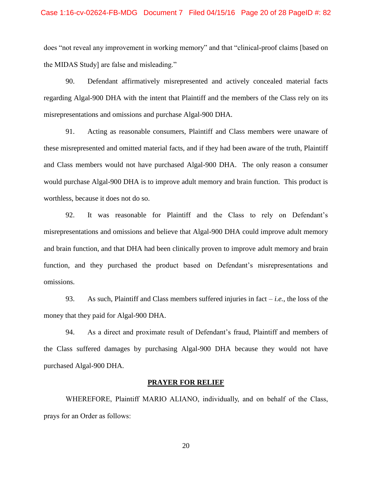#### Case 1:16-cv-02624-FB-MDG Document 7 Filed 04/15/16 Page 20 of 28 PageID #: 82

does "not reveal any improvement in working memory" and that "clinical-proof claims [based on the MIDAS Study] are false and misleading."

90. Defendant affirmatively misrepresented and actively concealed material facts regarding Algal-900 DHA with the intent that Plaintiff and the members of the Class rely on its misrepresentations and omissions and purchase Algal-900 DHA.

91. Acting as reasonable consumers, Plaintiff and Class members were unaware of these misrepresented and omitted material facts, and if they had been aware of the truth, Plaintiff and Class members would not have purchased Algal-900 DHA. The only reason a consumer would purchase Algal-900 DHA is to improve adult memory and brain function. This product is worthless, because it does not do so.

92. It was reasonable for Plaintiff and the Class to rely on Defendant's misrepresentations and omissions and believe that Algal-900 DHA could improve adult memory and brain function, and that DHA had been clinically proven to improve adult memory and brain function, and they purchased the product based on Defendant's misrepresentations and omissions.

93. As such, Plaintiff and Class members suffered injuries in fact – *i.e.*, the loss of the money that they paid for Algal-900 DHA.

94. As a direct and proximate result of Defendant's fraud, Plaintiff and members of the Class suffered damages by purchasing Algal-900 DHA because they would not have purchased Algal-900 DHA.

#### **PRAYER FOR RELIEF**

WHEREFORE, Plaintiff MARIO ALIANO, individually, and on behalf of the Class, prays for an Order as follows: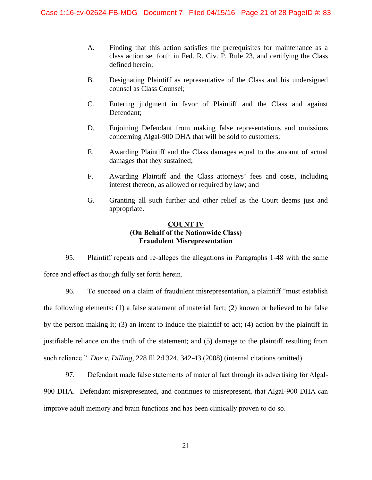- A. Finding that this action satisfies the prerequisites for maintenance as a class action set forth in Fed. R. Civ. P. Rule 23, and certifying the Class defined herein;
- B. Designating Plaintiff as representative of the Class and his undersigned counsel as Class Counsel;
- C. Entering judgment in favor of Plaintiff and the Class and against Defendant;
- D. Enjoining Defendant from making false representations and omissions concerning Algal-900 DHA that will be sold to customers;
- E. Awarding Plaintiff and the Class damages equal to the amount of actual damages that they sustained;
- F. Awarding Plaintiff and the Class attorneys' fees and costs, including interest thereon, as allowed or required by law; and
- G. Granting all such further and other relief as the Court deems just and appropriate.

### **COUNT IV (On Behalf of the Nationwide Class) Fraudulent Misrepresentation**

95. Plaintiff repeats and re-alleges the allegations in Paragraphs 1-48 with the same force and effect as though fully set forth herein.

96. To succeed on a claim of fraudulent misrepresentation, a plaintiff "must establish the following elements: (1) a false statement of material fact; (2) known or believed to be false by the person making it; (3) an intent to induce the plaintiff to act; (4) action by the plaintiff in justifiable reliance on the truth of the statement; and (5) damage to the plaintiff resulting from such reliance." *Doe v. Dilling*, 228 Ill.2d 324, 342-43 (2008) (internal citations omitted).

97. Defendant made false statements of material fact through its advertising for Algal-900 DHA. Defendant misrepresented, and continues to misrepresent, that Algal-900 DHA can improve adult memory and brain functions and has been clinically proven to do so.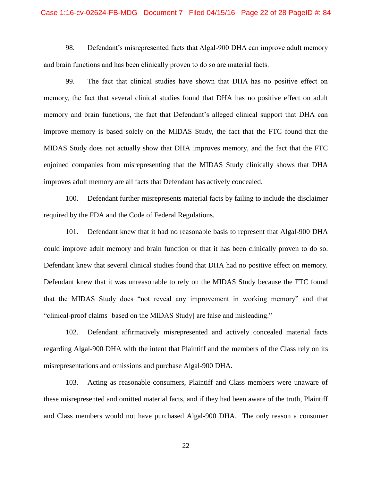#### Case 1:16-cv-02624-FB-MDG Document 7 Filed 04/15/16 Page 22 of 28 PageID #: 84

98. Defendant's misrepresented facts that Algal-900 DHA can improve adult memory and brain functions and has been clinically proven to do so are material facts.

99. The fact that clinical studies have shown that DHA has no positive effect on memory, the fact that several clinical studies found that DHA has no positive effect on adult memory and brain functions, the fact that Defendant's alleged clinical support that DHA can improve memory is based solely on the MIDAS Study, the fact that the FTC found that the MIDAS Study does not actually show that DHA improves memory, and the fact that the FTC enjoined companies from misrepresenting that the MIDAS Study clinically shows that DHA improves adult memory are all facts that Defendant has actively concealed.

100. Defendant further misrepresents material facts by failing to include the disclaimer required by the FDA and the Code of Federal Regulations.

101. Defendant knew that it had no reasonable basis to represent that Algal-900 DHA could improve adult memory and brain function or that it has been clinically proven to do so. Defendant knew that several clinical studies found that DHA had no positive effect on memory. Defendant knew that it was unreasonable to rely on the MIDAS Study because the FTC found that the MIDAS Study does "not reveal any improvement in working memory" and that "clinical-proof claims [based on the MIDAS Study] are false and misleading."

102. Defendant affirmatively misrepresented and actively concealed material facts regarding Algal-900 DHA with the intent that Plaintiff and the members of the Class rely on its misrepresentations and omissions and purchase Algal-900 DHA.

103. Acting as reasonable consumers, Plaintiff and Class members were unaware of these misrepresented and omitted material facts, and if they had been aware of the truth, Plaintiff and Class members would not have purchased Algal-900 DHA. The only reason a consumer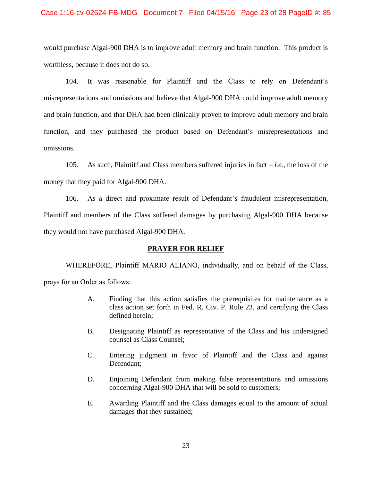would purchase Algal-900 DHA is to improve adult memory and brain function. This product is worthless, because it does not do so.

104. It was reasonable for Plaintiff and the Class to rely on Defendant's misrepresentations and omissions and believe that Algal-900 DHA could improve adult memory and brain function, and that DHA had been clinically proven to improve adult memory and brain function, and they purchased the product based on Defendant's misrepresentations and omissions.

105. As such, Plaintiff and Class members suffered injuries in fact – *i.e.*, the loss of the money that they paid for Algal-900 DHA.

106. As a direct and proximate result of Defendant's fraudulent misrepresentation, Plaintiff and members of the Class suffered damages by purchasing Algal-900 DHA because they would not have purchased Algal-900 DHA.

### **PRAYER FOR RELIEF**

WHEREFORE, Plaintiff MARIO ALIANO, individually, and on behalf of the Class, prays for an Order as follows:

- A. Finding that this action satisfies the prerequisites for maintenance as a class action set forth in Fed. R. Civ. P. Rule 23, and certifying the Class defined herein;
- B. Designating Plaintiff as representative of the Class and his undersigned counsel as Class Counsel;
- C. Entering judgment in favor of Plaintiff and the Class and against Defendant;
- D. Enjoining Defendant from making false representations and omissions concerning Algal-900 DHA that will be sold to customers;
- E. Awarding Plaintiff and the Class damages equal to the amount of actual damages that they sustained;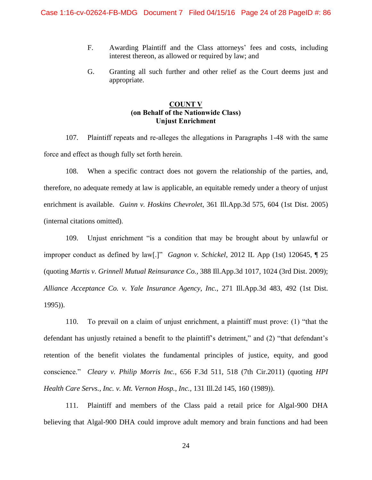- F. Awarding Plaintiff and the Class attorneys' fees and costs, including interest thereon, as allowed or required by law; and
- G. Granting all such further and other relief as the Court deems just and appropriate.

### **COUNT V (on Behalf of the Nationwide Class) Unjust Enrichment**

107. Plaintiff repeats and re-alleges the allegations in Paragraphs 1-48 with the same force and effect as though fully set forth herein.

108. When a specific contract does not govern the relationship of the parties, and, therefore, no adequate remedy at law is applicable, an equitable remedy under a theory of unjust enrichment is available. *Guinn v. Hoskins Chevrolet*, 361 Ill.App.3d 575, 604 (1st Dist. 2005) (internal citations omitted).

109. Unjust enrichment "is a condition that may be brought about by unlawful or improper conduct as defined by law[.]" *Gagnon v. Schickel*, 2012 IL App (1st) 120645, ¶ 25 (quoting *Martis v. Grinnell Mutual Reinsurance Co.,* 388 Ill.App.3d 1017, 1024 (3rd Dist. 2009); *Alliance Acceptance Co. v. Yale Insurance Agency, Inc.,* 271 Ill.App.3d 483, 492 (1st Dist. 1995)).

110. To prevail on a claim of unjust enrichment, a plaintiff must prove: (1) "that the defendant has unjustly retained a benefit to the plaintiff's detriment," and (2) "that defendant's retention of the benefit violates the fundamental principles of justice, equity, and good conscience." *Cleary v. Philip Morris Inc.,* 656 F.3d 511, 518 (7th Cir.2011) (quoting *HPI Health Care Servs., Inc. v. Mt. Vernon Hosp., Inc.,* 131 Ill.2d 145, 160 (1989)).

111. Plaintiff and members of the Class paid a retail price for Algal-900 DHA believing that Algal-900 DHA could improve adult memory and brain functions and had been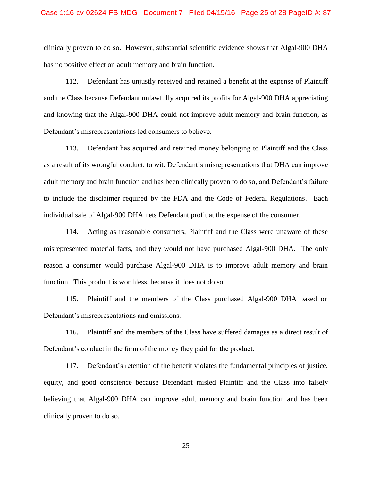#### Case 1:16-cv-02624-FB-MDG Document 7 Filed 04/15/16 Page 25 of 28 PageID #: 87

clinically proven to do so. However, substantial scientific evidence shows that Algal-900 DHA has no positive effect on adult memory and brain function.

112. Defendant has unjustly received and retained a benefit at the expense of Plaintiff and the Class because Defendant unlawfully acquired its profits for Algal-900 DHA appreciating and knowing that the Algal-900 DHA could not improve adult memory and brain function, as Defendant's misrepresentations led consumers to believe.

113. Defendant has acquired and retained money belonging to Plaintiff and the Class as a result of its wrongful conduct, to wit: Defendant's misrepresentations that DHA can improve adult memory and brain function and has been clinically proven to do so, and Defendant's failure to include the disclaimer required by the FDA and the Code of Federal Regulations. Each individual sale of Algal-900 DHA nets Defendant profit at the expense of the consumer.

114. Acting as reasonable consumers, Plaintiff and the Class were unaware of these misrepresented material facts, and they would not have purchased Algal-900 DHA. The only reason a consumer would purchase Algal-900 DHA is to improve adult memory and brain function. This product is worthless, because it does not do so.

115. Plaintiff and the members of the Class purchased Algal-900 DHA based on Defendant's misrepresentations and omissions.

116. Plaintiff and the members of the Class have suffered damages as a direct result of Defendant's conduct in the form of the money they paid for the product.

117. Defendant's retention of the benefit violates the fundamental principles of justice, equity, and good conscience because Defendant misled Plaintiff and the Class into falsely believing that Algal-900 DHA can improve adult memory and brain function and has been clinically proven to do so.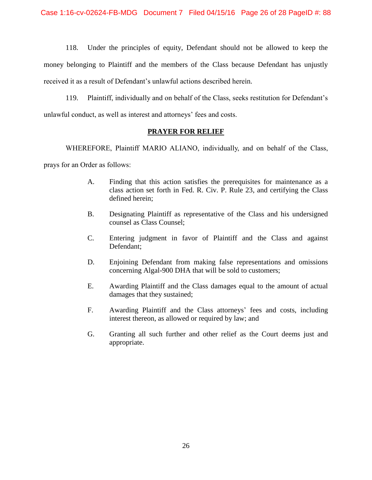118. Under the principles of equity, Defendant should not be allowed to keep the money belonging to Plaintiff and the members of the Class because Defendant has unjustly received it as a result of Defendant's unlawful actions described herein.

119. Plaintiff, individually and on behalf of the Class, seeks restitution for Defendant's unlawful conduct, as well as interest and attorneys' fees and costs.

### **PRAYER FOR RELIEF**

WHEREFORE, Plaintiff MARIO ALIANO, individually, and on behalf of the Class,

prays for an Order as follows:

- A. Finding that this action satisfies the prerequisites for maintenance as a class action set forth in Fed. R. Civ. P. Rule 23, and certifying the Class defined herein;
- B. Designating Plaintiff as representative of the Class and his undersigned counsel as Class Counsel;
- C. Entering judgment in favor of Plaintiff and the Class and against Defendant;
- D. Enjoining Defendant from making false representations and omissions concerning Algal-900 DHA that will be sold to customers;
- E. Awarding Plaintiff and the Class damages equal to the amount of actual damages that they sustained;
- F. Awarding Plaintiff and the Class attorneys' fees and costs, including interest thereon, as allowed or required by law; and
- G. Granting all such further and other relief as the Court deems just and appropriate.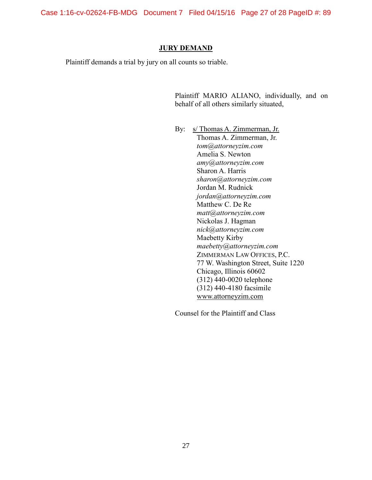Case 1:16-cv-02624-FB-MDG Document 7 Filed 04/15/16 Page 27 of 28 PageID #: 89

### **JURY DEMAND**

Plaintiff demands a trial by jury on all counts so triable.

Plaintiff MARIO ALIANO, individually, and on behalf of all others similarly situated,

By: s/ Thomas A. Zimmerman, Jr. Thomas A. Zimmerman, Jr. *tom@attorneyzim.com* Amelia S. Newton *amy@attorneyzim.com* Sharon A. Harris *sharon@attorneyzim.com* Jordan M. Rudnick *jordan@attorneyzim.com* Matthew C. De Re *matt@attorneyzim.com* Nickolas J. Hagman *nick@attorneyzim.com* Maebetty Kirby *maebetty@attorneyzim.com* ZIMMERMAN LAW OFFICES, P.C. 77 W. Washington Street, Suite 1220 Chicago, Illinois 60602 (312) 440-0020 telephone (312) 440-4180 facsimile www.attorneyzim.com

Counsel for the Plaintiff and Class